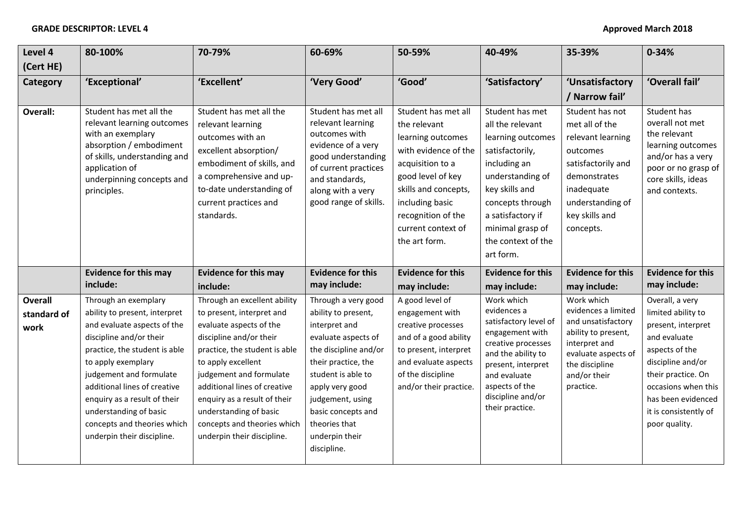| Level 4                               | 80-100%                                                                                                                                                                                                                                                                                                                                                  | 70-79%                                                                                                                                                                                                                                                                                                                                                   | 60-69%                                                                                                                                                                                                                                                                  | 50-59%                                                                                                                                                                                                                            | 40-49%                                                                                                                                                                                                                            | 35-39%                                                                                                                                                                    | $0 - 34%$                                                                                                                                                                                                                       |
|---------------------------------------|----------------------------------------------------------------------------------------------------------------------------------------------------------------------------------------------------------------------------------------------------------------------------------------------------------------------------------------------------------|----------------------------------------------------------------------------------------------------------------------------------------------------------------------------------------------------------------------------------------------------------------------------------------------------------------------------------------------------------|-------------------------------------------------------------------------------------------------------------------------------------------------------------------------------------------------------------------------------------------------------------------------|-----------------------------------------------------------------------------------------------------------------------------------------------------------------------------------------------------------------------------------|-----------------------------------------------------------------------------------------------------------------------------------------------------------------------------------------------------------------------------------|---------------------------------------------------------------------------------------------------------------------------------------------------------------------------|---------------------------------------------------------------------------------------------------------------------------------------------------------------------------------------------------------------------------------|
| (Cert HE)                             |                                                                                                                                                                                                                                                                                                                                                          |                                                                                                                                                                                                                                                                                                                                                          |                                                                                                                                                                                                                                                                         |                                                                                                                                                                                                                                   |                                                                                                                                                                                                                                   |                                                                                                                                                                           |                                                                                                                                                                                                                                 |
| Category                              | 'Exceptional'                                                                                                                                                                                                                                                                                                                                            | 'Excellent'                                                                                                                                                                                                                                                                                                                                              | 'Very Good'                                                                                                                                                                                                                                                             | 'Good'                                                                                                                                                                                                                            | 'Satisfactory'                                                                                                                                                                                                                    | 'Unsatisfactory                                                                                                                                                           | 'Overall fail'                                                                                                                                                                                                                  |
|                                       |                                                                                                                                                                                                                                                                                                                                                          |                                                                                                                                                                                                                                                                                                                                                          |                                                                                                                                                                                                                                                                         |                                                                                                                                                                                                                                   |                                                                                                                                                                                                                                   | / Narrow fail'                                                                                                                                                            |                                                                                                                                                                                                                                 |
| Overall:                              | Student has met all the<br>relevant learning outcomes<br>with an exemplary<br>absorption / embodiment<br>of skills, understanding and<br>application of<br>underpinning concepts and<br>principles.                                                                                                                                                      | Student has met all the<br>relevant learning<br>outcomes with an<br>excellent absorption/<br>embodiment of skills, and<br>a comprehensive and up-<br>to-date understanding of<br>current practices and<br>standards.                                                                                                                                     | Student has met all<br>relevant learning<br>outcomes with<br>evidence of a very<br>good understanding<br>of current practices<br>and standards,<br>along with a very<br>good range of skills.                                                                           | Student has met all<br>the relevant<br>learning outcomes<br>with evidence of the<br>acquisition to a<br>good level of key<br>skills and concepts,<br>including basic<br>recognition of the<br>current context of<br>the art form. | Student has met<br>all the relevant<br>learning outcomes<br>satisfactorily,<br>including an<br>understanding of<br>key skills and<br>concepts through<br>a satisfactory if<br>minimal grasp of<br>the context of the<br>art form. | Student has not<br>met all of the<br>relevant learning<br>outcomes<br>satisfactorily and<br>demonstrates<br>inadequate<br>understanding of<br>key skills and<br>concepts. | Student has<br>overall not met<br>the relevant<br>learning outcomes<br>and/or has a very<br>poor or no grasp of<br>core skills, ideas<br>and contexts.                                                                          |
|                                       | <b>Evidence for this may</b><br>include:                                                                                                                                                                                                                                                                                                                 | <b>Evidence for this may</b><br>include:                                                                                                                                                                                                                                                                                                                 | <b>Evidence for this</b><br>may include:                                                                                                                                                                                                                                | <b>Evidence for this</b><br>may include:                                                                                                                                                                                          | <b>Evidence for this</b><br>may include:                                                                                                                                                                                          | <b>Evidence for this</b><br>may include:                                                                                                                                  | <b>Evidence for this</b><br>may include:                                                                                                                                                                                        |
| <b>Overall</b><br>standard of<br>work | Through an exemplary<br>ability to present, interpret<br>and evaluate aspects of the<br>discipline and/or their<br>practice, the student is able<br>to apply exemplary<br>judgement and formulate<br>additional lines of creative<br>enquiry as a result of their<br>understanding of basic<br>concepts and theories which<br>underpin their discipline. | Through an excellent ability<br>to present, interpret and<br>evaluate aspects of the<br>discipline and/or their<br>practice, the student is able<br>to apply excellent<br>judgement and formulate<br>additional lines of creative<br>enquiry as a result of their<br>understanding of basic<br>concepts and theories which<br>underpin their discipline. | Through a very good<br>ability to present,<br>interpret and<br>evaluate aspects of<br>the discipline and/or<br>their practice, the<br>student is able to<br>apply very good<br>judgement, using<br>basic concepts and<br>theories that<br>underpin their<br>discipline. | A good level of<br>engagement with<br>creative processes<br>and of a good ability<br>to present, interpret<br>and evaluate aspects<br>of the discipline<br>and/or their practice.                                                 | Work which<br>evidences a<br>satisfactory level of<br>engagement with<br>creative processes<br>and the ability to<br>present, interpret<br>and evaluate<br>aspects of the<br>discipline and/or<br>their practice.                 | Work which<br>evidences a limited<br>and unsatisfactory<br>ability to present,<br>interpret and<br>evaluate aspects of<br>the discipline<br>and/or their<br>practice.     | Overall, a very<br>limited ability to<br>present, interpret<br>and evaluate<br>aspects of the<br>discipline and/or<br>their practice. On<br>occasions when this<br>has been evidenced<br>it is consistently of<br>poor quality. |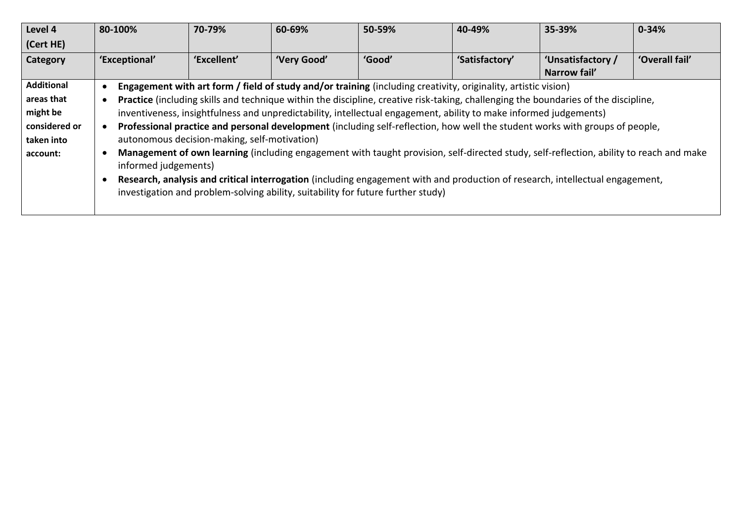| Level 4           | 80-100%       | 70-79%                                                                                                                                                          | 60-69%      | 50-59%                                                                                                                                                                                                            | 40-49%         | 35-39%                            | $0 - 34%$      |  |
|-------------------|---------------|-----------------------------------------------------------------------------------------------------------------------------------------------------------------|-------------|-------------------------------------------------------------------------------------------------------------------------------------------------------------------------------------------------------------------|----------------|-----------------------------------|----------------|--|
| (Cert HE)         |               |                                                                                                                                                                 |             |                                                                                                                                                                                                                   |                |                                   |                |  |
| Category          | 'Exceptional' | 'Excellent'                                                                                                                                                     | 'Very Good' | 'Good'                                                                                                                                                                                                            | 'Satisfactory' | 'Unsatisfactory /<br>Narrow fail' | 'Overall fail' |  |
| <b>Additional</b> |               |                                                                                                                                                                 |             | Engagement with art form / field of study and/or training (including creativity, originality, artistic vision)                                                                                                    |                |                                   |                |  |
| areas that        |               |                                                                                                                                                                 |             | Practice (including skills and technique within the discipline, creative risk-taking, challenging the boundaries of the discipline,                                                                               |                |                                   |                |  |
| might be          |               |                                                                                                                                                                 |             | inventiveness, insightfulness and unpredictability, intellectual engagement, ability to make informed judgements)                                                                                                 |                |                                   |                |  |
| considered or     |               |                                                                                                                                                                 |             | Professional practice and personal development (including self-reflection, how well the student works with groups of people,                                                                                      |                |                                   |                |  |
| taken into        |               | autonomous decision-making, self-motivation)                                                                                                                    |             |                                                                                                                                                                                                                   |                |                                   |                |  |
| account:          |               | Management of own learning (including engagement with taught provision, self-directed study, self-reflection, ability to reach and make<br>informed judgements) |             |                                                                                                                                                                                                                   |                |                                   |                |  |
|                   |               |                                                                                                                                                                 |             | Research, analysis and critical interrogation (including engagement with and production of research, intellectual engagement,<br>investigation and problem-solving ability, suitability for future further study) |                |                                   |                |  |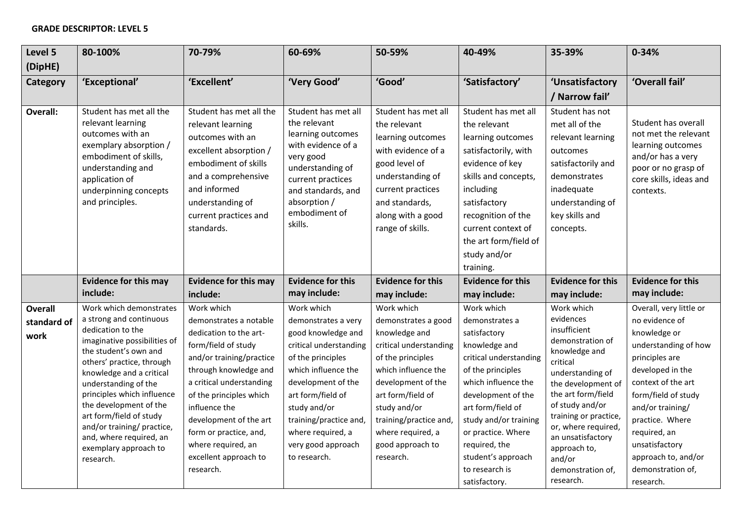## **GRADE DESCRIPTOR: LEVEL 5**

| Level 5                               | 80-100%                                                                                                                                                                                                                                                                                                                                                                                             | 70-79%                                                                                                                                                                                                                                                                                                                             | 60-69%                                                                                                                                                                                                                                                                        | 50-59%                                                                                                                                                                                                                                                              | 40-49%                                                                                                                                                                                                                                                                                                  | 35-39%                                                                                                                                                                                                                                                                                                       | $0 - 34%$                                                                                                                                                                                                                                                                                              |
|---------------------------------------|-----------------------------------------------------------------------------------------------------------------------------------------------------------------------------------------------------------------------------------------------------------------------------------------------------------------------------------------------------------------------------------------------------|------------------------------------------------------------------------------------------------------------------------------------------------------------------------------------------------------------------------------------------------------------------------------------------------------------------------------------|-------------------------------------------------------------------------------------------------------------------------------------------------------------------------------------------------------------------------------------------------------------------------------|---------------------------------------------------------------------------------------------------------------------------------------------------------------------------------------------------------------------------------------------------------------------|---------------------------------------------------------------------------------------------------------------------------------------------------------------------------------------------------------------------------------------------------------------------------------------------------------|--------------------------------------------------------------------------------------------------------------------------------------------------------------------------------------------------------------------------------------------------------------------------------------------------------------|--------------------------------------------------------------------------------------------------------------------------------------------------------------------------------------------------------------------------------------------------------------------------------------------------------|
| (DipHE)                               |                                                                                                                                                                                                                                                                                                                                                                                                     |                                                                                                                                                                                                                                                                                                                                    |                                                                                                                                                                                                                                                                               |                                                                                                                                                                                                                                                                     |                                                                                                                                                                                                                                                                                                         |                                                                                                                                                                                                                                                                                                              |                                                                                                                                                                                                                                                                                                        |
| Category                              | 'Exceptional'                                                                                                                                                                                                                                                                                                                                                                                       | 'Excellent'                                                                                                                                                                                                                                                                                                                        | 'Very Good'                                                                                                                                                                                                                                                                   | 'Good'                                                                                                                                                                                                                                                              | 'Satisfactory'                                                                                                                                                                                                                                                                                          | 'Unsatisfactory                                                                                                                                                                                                                                                                                              | 'Overall fail'                                                                                                                                                                                                                                                                                         |
|                                       |                                                                                                                                                                                                                                                                                                                                                                                                     |                                                                                                                                                                                                                                                                                                                                    |                                                                                                                                                                                                                                                                               |                                                                                                                                                                                                                                                                     |                                                                                                                                                                                                                                                                                                         | / Narrow fail'                                                                                                                                                                                                                                                                                               |                                                                                                                                                                                                                                                                                                        |
| <b>Overall:</b>                       | Student has met all the<br>relevant learning<br>outcomes with an<br>exemplary absorption /<br>embodiment of skills,<br>understanding and<br>application of<br>underpinning concepts<br>and principles.                                                                                                                                                                                              | Student has met all the<br>relevant learning<br>outcomes with an<br>excellent absorption /<br>embodiment of skills<br>and a comprehensive<br>and informed<br>understanding of<br>current practices and<br>standards.                                                                                                               | Student has met all<br>the relevant<br>learning outcomes<br>with evidence of a<br>very good<br>understanding of<br>current practices<br>and standards, and<br>absorption /<br>embodiment of<br>skills.                                                                        | Student has met all<br>the relevant<br>learning outcomes<br>with evidence of a<br>good level of<br>understanding of<br>current practices<br>and standards,<br>along with a good<br>range of skills.                                                                 | Student has met all<br>the relevant<br>learning outcomes<br>satisfactorily, with<br>evidence of key<br>skills and concepts,<br>including<br>satisfactory<br>recognition of the<br>current context of<br>the art form/field of<br>study and/or<br>training.                                              | Student has not<br>met all of the<br>relevant learning<br>outcomes<br>satisfactorily and<br>demonstrates<br>inadequate<br>understanding of<br>key skills and<br>concepts.                                                                                                                                    | Student has overall<br>not met the relevant<br>learning outcomes<br>and/or has a very<br>poor or no grasp of<br>core skills, ideas and<br>contexts.                                                                                                                                                    |
|                                       | <b>Evidence for this may</b>                                                                                                                                                                                                                                                                                                                                                                        | <b>Evidence for this may</b>                                                                                                                                                                                                                                                                                                       | <b>Evidence for this</b>                                                                                                                                                                                                                                                      | <b>Evidence for this</b>                                                                                                                                                                                                                                            | <b>Evidence for this</b>                                                                                                                                                                                                                                                                                | <b>Evidence for this</b>                                                                                                                                                                                                                                                                                     | <b>Evidence for this</b>                                                                                                                                                                                                                                                                               |
|                                       | include:                                                                                                                                                                                                                                                                                                                                                                                            | include:                                                                                                                                                                                                                                                                                                                           | may include:                                                                                                                                                                                                                                                                  | may include:                                                                                                                                                                                                                                                        | may include:                                                                                                                                                                                                                                                                                            | may include:                                                                                                                                                                                                                                                                                                 | may include:                                                                                                                                                                                                                                                                                           |
| <b>Overall</b><br>standard of<br>work | Work which demonstrates<br>a strong and continuous<br>dedication to the<br>imaginative possibilities of<br>the student's own and<br>others' practice, through<br>knowledge and a critical<br>understanding of the<br>principles which influence<br>the development of the<br>art form/field of study<br>and/or training/ practice,<br>and, where required, an<br>exemplary approach to<br>research. | Work which<br>demonstrates a notable<br>dedication to the art-<br>form/field of study<br>and/or training/practice<br>through knowledge and<br>a critical understanding<br>of the principles which<br>influence the<br>development of the art<br>form or practice, and,<br>where required, an<br>excellent approach to<br>research. | Work which<br>demonstrates a very<br>good knowledge and<br>critical understanding<br>of the principles<br>which influence the<br>development of the<br>art form/field of<br>study and/or<br>training/practice and,<br>where required, a<br>very good approach<br>to research. | Work which<br>demonstrates a good<br>knowledge and<br>critical understanding<br>of the principles<br>which influence the<br>development of the<br>art form/field of<br>study and/or<br>training/practice and,<br>where required, a<br>good approach to<br>research. | Work which<br>demonstrates a<br>satisfactory<br>knowledge and<br>critical understanding<br>of the principles<br>which influence the<br>development of the<br>art form/field of<br>study and/or training<br>or practice. Where<br>required, the<br>student's approach<br>to research is<br>satisfactory. | Work which<br>evidences<br>insufficient<br>demonstration of<br>knowledge and<br>critical<br>understanding of<br>the development of<br>the art form/field<br>of study and/or<br>training or practice,<br>or, where required,<br>an unsatisfactory<br>approach to,<br>and/or<br>demonstration of,<br>research. | Overall, very little or<br>no evidence of<br>knowledge or<br>understanding of how<br>principles are<br>developed in the<br>context of the art<br>form/field of study<br>and/or training/<br>practice. Where<br>required, an<br>unsatisfactory<br>approach to, and/or<br>demonstration of,<br>research. |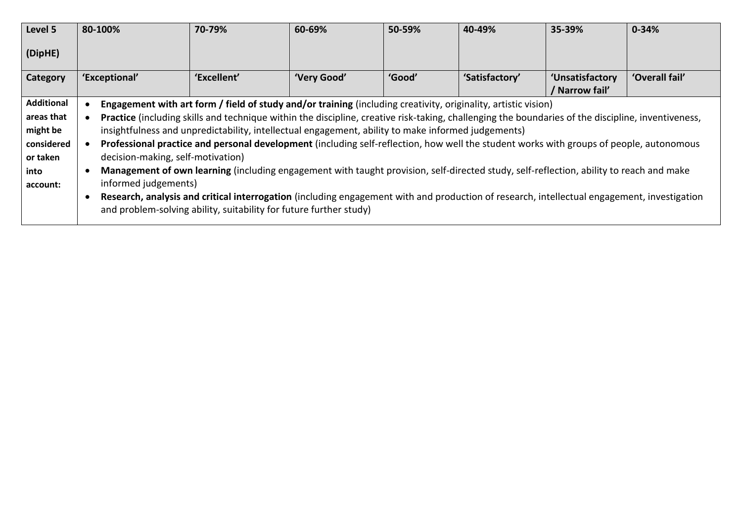| Level 5           | 80-100%                           | 70-79%                                                                                                                                                                                                            | 60-69%      | 50-59% | 40-49%         | 35-39%                          | $0 - 34%$      |
|-------------------|-----------------------------------|-------------------------------------------------------------------------------------------------------------------------------------------------------------------------------------------------------------------|-------------|--------|----------------|---------------------------------|----------------|
| (DipHE)           |                                   |                                                                                                                                                                                                                   |             |        |                |                                 |                |
| Category          | 'Exceptional'                     | 'Excellent'                                                                                                                                                                                                       | 'Very Good' | 'Good' | 'Satisfactory' | 'Unsatisfactory<br>Narrow fail' | 'Overall fail' |
| <b>Additional</b> |                                   | Engagement with art form / field of study and/or training (including creativity, originality, artistic vision)                                                                                                    |             |        |                |                                 |                |
| areas that        |                                   | Practice (including skills and technique within the discipline, creative risk-taking, challenging the boundaries of the discipline, inventiveness,                                                                |             |        |                |                                 |                |
| might be          |                                   | insightfulness and unpredictability, intellectual engagement, ability to make informed judgements)                                                                                                                |             |        |                |                                 |                |
| considered        |                                   | Professional practice and personal development (including self-reflection, how well the student works with groups of people, autonomous                                                                           |             |        |                |                                 |                |
| or taken          | decision-making, self-motivation) |                                                                                                                                                                                                                   |             |        |                |                                 |                |
| into              |                                   | Management of own learning (including engagement with taught provision, self-directed study, self-reflection, ability to reach and make                                                                           |             |        |                |                                 |                |
| account:          | informed judgements)              |                                                                                                                                                                                                                   |             |        |                |                                 |                |
|                   |                                   | Research, analysis and critical interrogation (including engagement with and production of research, intellectual engagement, investigation<br>and problem-solving ability, suitability for future further study) |             |        |                |                                 |                |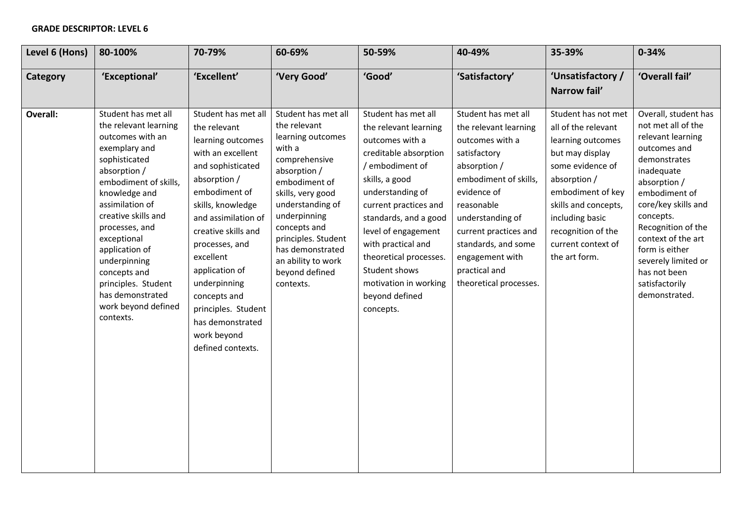## **GRADE DESCRIPTOR: LEVEL 6**

| Level 6 (Hons) | 80-100%                                                                                                                                                                                                  | 70-79%                                                                                                                                                                                                                          | 60-69%                                                                                                                                           | 50-59%                                                                                                                                                                                         | 40-49%                                                                                                                                       | 35-39%                                                                                                                                                      | $0 - 34%$                                                                                                                                                                |
|----------------|----------------------------------------------------------------------------------------------------------------------------------------------------------------------------------------------------------|---------------------------------------------------------------------------------------------------------------------------------------------------------------------------------------------------------------------------------|--------------------------------------------------------------------------------------------------------------------------------------------------|------------------------------------------------------------------------------------------------------------------------------------------------------------------------------------------------|----------------------------------------------------------------------------------------------------------------------------------------------|-------------------------------------------------------------------------------------------------------------------------------------------------------------|--------------------------------------------------------------------------------------------------------------------------------------------------------------------------|
| Category       | 'Exceptional'                                                                                                                                                                                            | 'Excellent'                                                                                                                                                                                                                     | 'Very Good'                                                                                                                                      | 'Good'                                                                                                                                                                                         | 'Satisfactory'                                                                                                                               | 'Unsatisfactory /                                                                                                                                           | 'Overall fail'                                                                                                                                                           |
| Overall:       | Student has met all<br>the relevant learning<br>outcomes with an<br>exemplary and<br>sophisticated<br>absorption /<br>embodiment of skills,<br>knowledge and                                             | Student has met all<br>the relevant<br>learning outcomes<br>with an excellent<br>and sophisticated<br>absorption /<br>embodiment of                                                                                             | Student has met all<br>the relevant<br>learning outcomes<br>with a<br>comprehensive<br>absorption /<br>embodiment of<br>skills, very good        | Student has met all<br>the relevant learning<br>outcomes with a<br>creditable absorption<br>/ embodiment of<br>skills, a good<br>understanding of                                              | Student has met all<br>the relevant learning<br>outcomes with a<br>satisfactory<br>absorption /<br>embodiment of skills,<br>evidence of      | Narrow fail'<br>Student has not met<br>all of the relevant<br>learning outcomes<br>but may display<br>some evidence of<br>absorption /<br>embodiment of key | Overall, student has<br>not met all of the<br>relevant learning<br>outcomes and<br>demonstrates<br>inadequate<br>absorption /<br>embodiment of                           |
|                | assimilation of<br>creative skills and<br>processes, and<br>exceptional<br>application of<br>underpinning<br>concepts and<br>principles. Student<br>has demonstrated<br>work beyond defined<br>contexts. | skills, knowledge<br>and assimilation of<br>creative skills and<br>processes, and<br>excellent<br>application of<br>underpinning<br>concepts and<br>principles. Student<br>has demonstrated<br>work beyond<br>defined contexts. | understanding of<br>underpinning<br>concepts and<br>principles. Student<br>has demonstrated<br>an ability to work<br>beyond defined<br>contexts. | current practices and<br>standards, and a good<br>level of engagement<br>with practical and<br>theoretical processes.<br>Student shows<br>motivation in working<br>beyond defined<br>concepts. | reasonable<br>understanding of<br>current practices and<br>standards, and some<br>engagement with<br>practical and<br>theoretical processes. | skills and concepts,<br>including basic<br>recognition of the<br>current context of<br>the art form.                                                        | core/key skills and<br>concepts.<br>Recognition of the<br>context of the art<br>form is either<br>severely limited or<br>has not been<br>satisfactorily<br>demonstrated. |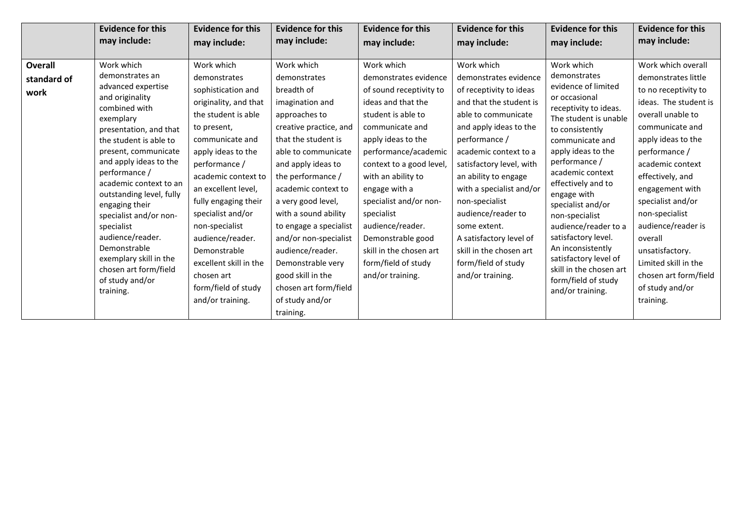|                                       | <b>Evidence for this</b>                                                                                                                                                                                                                                                                                                                                                                                                                                           | <b>Evidence for this</b>                                                                                                                                                                                                                                                                                                                                                                                      | <b>Evidence for this</b>                                                                                                                                                                                                                                                                                                                                                                                                                       | <b>Evidence for this</b>                                                                                                                                                                                                                                                                                                                                                                              | <b>Evidence for this</b>                                                                                                                                                                                                                                                                                                                                                                                                      | <b>Evidence for this</b>                                                                                                                                                                                                                                                                                                                                                                                                                                             | <b>Evidence for this</b>                                                                                                                                                                                                                                                                                                                                                                                         |
|---------------------------------------|--------------------------------------------------------------------------------------------------------------------------------------------------------------------------------------------------------------------------------------------------------------------------------------------------------------------------------------------------------------------------------------------------------------------------------------------------------------------|---------------------------------------------------------------------------------------------------------------------------------------------------------------------------------------------------------------------------------------------------------------------------------------------------------------------------------------------------------------------------------------------------------------|------------------------------------------------------------------------------------------------------------------------------------------------------------------------------------------------------------------------------------------------------------------------------------------------------------------------------------------------------------------------------------------------------------------------------------------------|-------------------------------------------------------------------------------------------------------------------------------------------------------------------------------------------------------------------------------------------------------------------------------------------------------------------------------------------------------------------------------------------------------|-------------------------------------------------------------------------------------------------------------------------------------------------------------------------------------------------------------------------------------------------------------------------------------------------------------------------------------------------------------------------------------------------------------------------------|----------------------------------------------------------------------------------------------------------------------------------------------------------------------------------------------------------------------------------------------------------------------------------------------------------------------------------------------------------------------------------------------------------------------------------------------------------------------|------------------------------------------------------------------------------------------------------------------------------------------------------------------------------------------------------------------------------------------------------------------------------------------------------------------------------------------------------------------------------------------------------------------|
|                                       | may include:                                                                                                                                                                                                                                                                                                                                                                                                                                                       | may include:                                                                                                                                                                                                                                                                                                                                                                                                  | may include:                                                                                                                                                                                                                                                                                                                                                                                                                                   | may include:                                                                                                                                                                                                                                                                                                                                                                                          | may include:                                                                                                                                                                                                                                                                                                                                                                                                                  | may include:                                                                                                                                                                                                                                                                                                                                                                                                                                                         | may include:                                                                                                                                                                                                                                                                                                                                                                                                     |
| <b>Overall</b><br>standard of<br>work | Work which<br>demonstrates an<br>advanced expertise<br>and originality<br>combined with<br>exemplary<br>presentation, and that<br>the student is able to<br>present, communicate<br>and apply ideas to the<br>performance /<br>academic context to an<br>outstanding level, fully<br>engaging their<br>specialist and/or non-<br>specialist<br>audience/reader.<br>Demonstrable<br>exemplary skill in the<br>chosen art form/field<br>of study and/or<br>training. | Work which<br>demonstrates<br>sophistication and<br>originality, and that<br>the student is able<br>to present,<br>communicate and<br>apply ideas to the<br>performance /<br>academic context to<br>an excellent level,<br>fully engaging their<br>specialist and/or<br>non-specialist<br>audience/reader.<br>Demonstrable<br>excellent skill in the<br>chosen art<br>form/field of study<br>and/or training. | Work which<br>demonstrates<br>breadth of<br>imagination and<br>approaches to<br>creative practice, and<br>that the student is<br>able to communicate<br>and apply ideas to<br>the performance /<br>academic context to<br>a very good level,<br>with a sound ability<br>to engage a specialist<br>and/or non-specialist<br>audience/reader.<br>Demonstrable very<br>good skill in the<br>chosen art form/field<br>of study and/or<br>training. | Work which<br>demonstrates evidence<br>of sound receptivity to<br>ideas and that the<br>student is able to<br>communicate and<br>apply ideas to the<br>performance/academic<br>context to a good level,<br>with an ability to<br>engage with a<br>specialist and/or non-<br>specialist<br>audience/reader.<br>Demonstrable good<br>skill in the chosen art<br>form/field of study<br>and/or training. | Work which<br>demonstrates evidence<br>of receptivity to ideas<br>and that the student is<br>able to communicate<br>and apply ideas to the<br>performance /<br>academic context to a<br>satisfactory level, with<br>an ability to engage<br>with a specialist and/or<br>non-specialist<br>audience/reader to<br>some extent.<br>A satisfactory level of<br>skill in the chosen art<br>form/field of study<br>and/or training. | Work which<br>demonstrates<br>evidence of limited<br>or occasional<br>receptivity to ideas.<br>The student is unable<br>to consistently<br>communicate and<br>apply ideas to the<br>performance /<br>academic context<br>effectively and to<br>engage with<br>specialist and/or<br>non-specialist<br>audience/reader to a<br>satisfactory level.<br>An inconsistently<br>satisfactory level of<br>skill in the chosen art<br>form/field of study<br>and/or training. | Work which overall<br>demonstrates little<br>to no receptivity to<br>ideas. The student is<br>overall unable to<br>communicate and<br>apply ideas to the<br>performance /<br>academic context<br>effectively, and<br>engagement with<br>specialist and/or<br>non-specialist<br>audience/reader is<br>overall<br>unsatisfactory.<br>Limited skill in the<br>chosen art form/field<br>of study and/or<br>training. |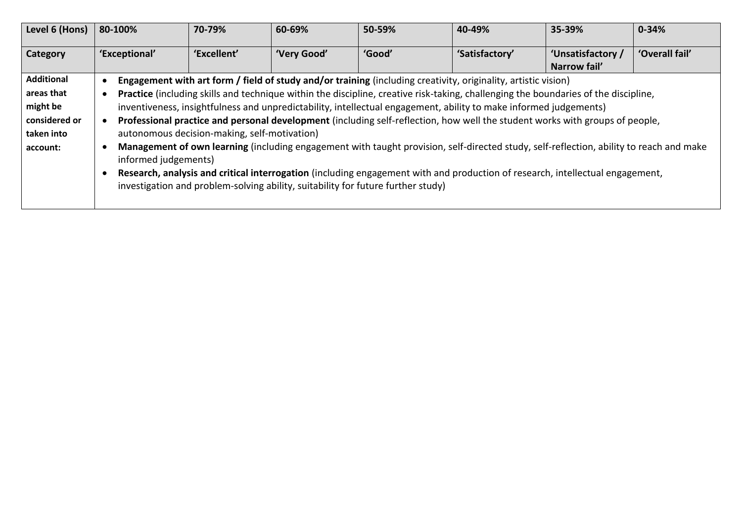| Level 6 (Hons)    | 80-100%                                                                                                                       | 70-79%                                       | 60-69%      | 50-59%                                                                           | 40-49%                                                                                                                                  | 35-39%            | $0 - 34%$      |
|-------------------|-------------------------------------------------------------------------------------------------------------------------------|----------------------------------------------|-------------|----------------------------------------------------------------------------------|-----------------------------------------------------------------------------------------------------------------------------------------|-------------------|----------------|
| Category          | 'Exceptional'                                                                                                                 | 'Excellent'                                  | 'Very Good' | 'Good'                                                                           | 'Satisfactory'                                                                                                                          | 'Unsatisfactory / | 'Overall fail' |
|                   |                                                                                                                               |                                              |             |                                                                                  |                                                                                                                                         | Narrow fail'      |                |
| <b>Additional</b> |                                                                                                                               |                                              |             |                                                                                  | Engagement with art form / field of study and/or training (including creativity, originality, artistic vision)                          |                   |                |
| areas that        |                                                                                                                               |                                              |             |                                                                                  | Practice (including skills and technique within the discipline, creative risk-taking, challenging the boundaries of the discipline,     |                   |                |
| might be          |                                                                                                                               |                                              |             |                                                                                  | inventiveness, insightfulness and unpredictability, intellectual engagement, ability to make informed judgements)                       |                   |                |
| considered or     |                                                                                                                               |                                              |             |                                                                                  | Professional practice and personal development (including self-reflection, how well the student works with groups of people,            |                   |                |
| taken into        |                                                                                                                               | autonomous decision-making, self-motivation) |             |                                                                                  |                                                                                                                                         |                   |                |
| account:          |                                                                                                                               |                                              |             |                                                                                  | Management of own learning (including engagement with taught provision, self-directed study, self-reflection, ability to reach and make |                   |                |
|                   | informed judgements)                                                                                                          |                                              |             |                                                                                  |                                                                                                                                         |                   |                |
|                   | Research, analysis and critical interrogation (including engagement with and production of research, intellectual engagement, |                                              |             |                                                                                  |                                                                                                                                         |                   |                |
|                   |                                                                                                                               |                                              |             | investigation and problem-solving ability, suitability for future further study) |                                                                                                                                         |                   |                |
|                   |                                                                                                                               |                                              |             |                                                                                  |                                                                                                                                         |                   |                |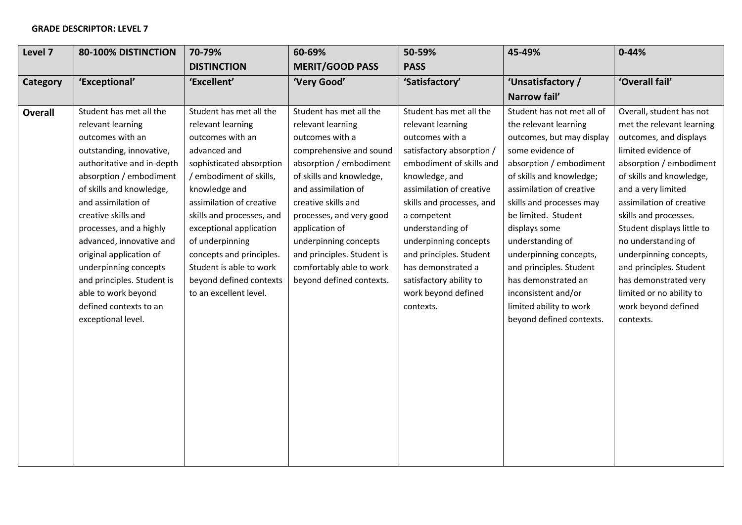## **GRADE DESCRIPTOR: LEVEL 7**

| Level 7        | 80-100% DISTINCTION                                                                                                                                   | 70-79%                                                                                                   | 60-69%                                                                             | 50-59%                                                                                          | 45-49%                                                                                                                                                 | $0 - 44%$                                                                                                                     |
|----------------|-------------------------------------------------------------------------------------------------------------------------------------------------------|----------------------------------------------------------------------------------------------------------|------------------------------------------------------------------------------------|-------------------------------------------------------------------------------------------------|--------------------------------------------------------------------------------------------------------------------------------------------------------|-------------------------------------------------------------------------------------------------------------------------------|
|                |                                                                                                                                                       | <b>DISTINCTION</b>                                                                                       | <b>MERIT/GOOD PASS</b>                                                             | <b>PASS</b>                                                                                     |                                                                                                                                                        |                                                                                                                               |
| Category       | 'Exceptional'                                                                                                                                         | 'Excellent'                                                                                              | 'Very Good'                                                                        | 'Satisfactory'                                                                                  | 'Unsatisfactory /                                                                                                                                      | 'Overall fail'                                                                                                                |
|                |                                                                                                                                                       |                                                                                                          |                                                                                    |                                                                                                 | Narrow fail'                                                                                                                                           |                                                                                                                               |
| <b>Overall</b> | Student has met all the                                                                                                                               | Student has met all the                                                                                  | Student has met all the                                                            | Student has met all the                                                                         | Student has not met all of                                                                                                                             | Overall, student has not                                                                                                      |
|                | relevant learning                                                                                                                                     | relevant learning                                                                                        | relevant learning                                                                  | relevant learning                                                                               | the relevant learning                                                                                                                                  | met the relevant learning                                                                                                     |
|                | outcomes with an                                                                                                                                      | outcomes with an                                                                                         | outcomes with a                                                                    | outcomes with a                                                                                 | outcomes, but may display                                                                                                                              | outcomes, and displays                                                                                                        |
|                | outstanding, innovative,                                                                                                                              | advanced and                                                                                             | comprehensive and sound                                                            | satisfactory absorption /                                                                       | some evidence of                                                                                                                                       | limited evidence of                                                                                                           |
|                | authoritative and in-depth                                                                                                                            | sophisticated absorption                                                                                 | absorption / embodiment                                                            | embodiment of skills and                                                                        | absorption / embodiment                                                                                                                                | absorption / embodiment                                                                                                       |
|                | absorption / embodiment                                                                                                                               | / embodiment of skills,                                                                                  | of skills and knowledge,                                                           | knowledge, and                                                                                  | of skills and knowledge;                                                                                                                               | of skills and knowledge,                                                                                                      |
|                | of skills and knowledge,                                                                                                                              | knowledge and                                                                                            | and assimilation of                                                                | assimilation of creative                                                                        | assimilation of creative                                                                                                                               | and a very limited                                                                                                            |
|                | and assimilation of                                                                                                                                   | assimilation of creative                                                                                 | creative skills and                                                                | skills and processes, and                                                                       | skills and processes may                                                                                                                               | assimilation of creative                                                                                                      |
|                | creative skills and                                                                                                                                   | skills and processes, and                                                                                | processes, and very good                                                           | a competent                                                                                     | be limited. Student                                                                                                                                    | skills and processes.                                                                                                         |
|                | processes, and a highly                                                                                                                               | exceptional application                                                                                  | application of                                                                     | understanding of                                                                                | displays some                                                                                                                                          | Student displays little to                                                                                                    |
|                | advanced, innovative and                                                                                                                              | of underpinning                                                                                          | underpinning concepts                                                              | underpinning concepts                                                                           | understanding of                                                                                                                                       | no understanding of                                                                                                           |
|                |                                                                                                                                                       |                                                                                                          |                                                                                    |                                                                                                 |                                                                                                                                                        |                                                                                                                               |
|                |                                                                                                                                                       |                                                                                                          |                                                                                    |                                                                                                 |                                                                                                                                                        |                                                                                                                               |
|                |                                                                                                                                                       |                                                                                                          |                                                                                    |                                                                                                 |                                                                                                                                                        |                                                                                                                               |
|                |                                                                                                                                                       |                                                                                                          |                                                                                    |                                                                                                 |                                                                                                                                                        |                                                                                                                               |
|                |                                                                                                                                                       |                                                                                                          |                                                                                    | contexts.                                                                                       |                                                                                                                                                        |                                                                                                                               |
|                |                                                                                                                                                       |                                                                                                          |                                                                                    |                                                                                                 |                                                                                                                                                        | contexts.                                                                                                                     |
|                |                                                                                                                                                       |                                                                                                          |                                                                                    |                                                                                                 |                                                                                                                                                        |                                                                                                                               |
|                |                                                                                                                                                       |                                                                                                          |                                                                                    |                                                                                                 |                                                                                                                                                        |                                                                                                                               |
|                |                                                                                                                                                       |                                                                                                          |                                                                                    |                                                                                                 |                                                                                                                                                        |                                                                                                                               |
|                |                                                                                                                                                       |                                                                                                          |                                                                                    |                                                                                                 |                                                                                                                                                        |                                                                                                                               |
|                |                                                                                                                                                       |                                                                                                          |                                                                                    |                                                                                                 |                                                                                                                                                        |                                                                                                                               |
|                |                                                                                                                                                       |                                                                                                          |                                                                                    |                                                                                                 |                                                                                                                                                        |                                                                                                                               |
|                |                                                                                                                                                       |                                                                                                          |                                                                                    |                                                                                                 |                                                                                                                                                        |                                                                                                                               |
|                |                                                                                                                                                       |                                                                                                          |                                                                                    |                                                                                                 |                                                                                                                                                        |                                                                                                                               |
|                |                                                                                                                                                       |                                                                                                          |                                                                                    |                                                                                                 |                                                                                                                                                        |                                                                                                                               |
|                |                                                                                                                                                       |                                                                                                          |                                                                                    |                                                                                                 |                                                                                                                                                        |                                                                                                                               |
|                | original application of<br>underpinning concepts<br>and principles. Student is<br>able to work beyond<br>defined contexts to an<br>exceptional level. | concepts and principles.<br>Student is able to work<br>beyond defined contexts<br>to an excellent level. | and principles. Student is<br>comfortably able to work<br>beyond defined contexts. | and principles. Student<br>has demonstrated a<br>satisfactory ability to<br>work beyond defined | underpinning concepts,<br>and principles. Student<br>has demonstrated an<br>inconsistent and/or<br>limited ability to work<br>beyond defined contexts. | underpinning concepts,<br>and principles. Student<br>has demonstrated very<br>limited or no ability to<br>work beyond defined |